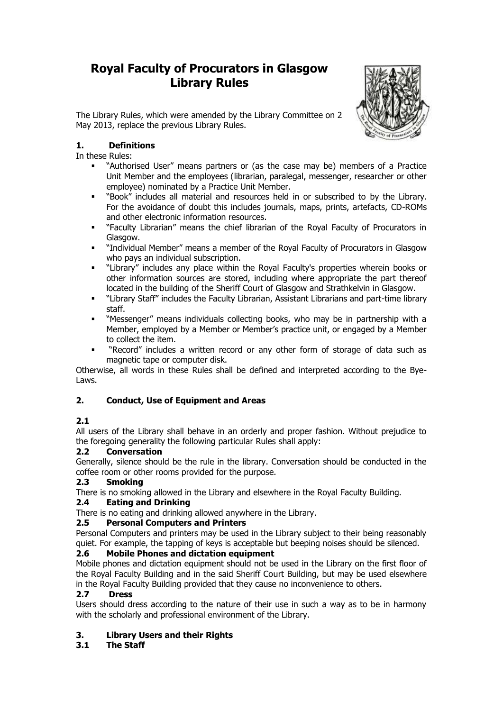# **Royal Faculty of Procurators in Glasgow Library Rules**



The Library Rules, which were amended by the Library Committee on 2 May 2013, replace the previous Library Rules.

### **1. Definitions**

In these Rules:

- "Authorised User" means partners or (as the case may be) members of a Practice Unit Member and the employees (librarian, paralegal, messenger, researcher or other employee) nominated by a Practice Unit Member.
- "Book" includes all material and resources held in or subscribed to by the Library. For the avoidance of doubt this includes journals, maps, prints, artefacts, CD-ROMs and other electronic information resources.
- "Faculty Librarian" means the chief librarian of the Royal Faculty of Procurators in Glasgow.
- "Individual Member" means a member of the Royal Faculty of Procurators in Glasgow who pays an individual subscription.
- "Library" includes any place within the Royal Faculty's properties wherein books or other information sources are stored, including where appropriate the part thereof located in the building of the Sheriff Court of Glasgow and Strathkelvin in Glasgow.
- "Library Staff" includes the Faculty Librarian, Assistant Librarians and part-time library staff.
- "Messenger" means individuals collecting books, who may be in partnership with a Member, employed by a Member or Member's practice unit, or engaged by a Member to collect the item.
- "Record" includes a written record or any other form of storage of data such as magnetic tape or computer disk.

Otherwise, all words in these Rules shall be defined and interpreted according to the Bye-Laws.

### **2. Conduct, Use of Equipment and Areas**

### **2.1**

All users of the Library shall behave in an orderly and proper fashion. Without prejudice to the foregoing generality the following particular Rules shall apply:

### **2.2 Conversation**

Generally, silence should be the rule in the library. Conversation should be conducted in the coffee room or other rooms provided for the purpose.

### **2.3 Smoking**

There is no smoking allowed in the Library and elsewhere in the Royal Faculty Building.

### **2.4 Eating and Drinking**

There is no eating and drinking allowed anywhere in the Library.

### **2.5 Personal Computers and Printers**

Personal Computers and printers may be used in the Library subject to their being reasonably quiet. For example, the tapping of keys is acceptable but beeping noises should be silenced.

### **2.6 Mobile Phones and dictation equipment**

Mobile phones and dictation equipment should not be used in the Library on the first floor of the Royal Faculty Building and in the said Sheriff Court Building, but may be used elsewhere in the Royal Faculty Building provided that they cause no inconvenience to others.

### **2.7 Dress**

Users should dress according to the nature of their use in such a way as to be in harmony with the scholarly and professional environment of the Library.

### **3. Library Users and their Rights**

### **3.1 The Staff**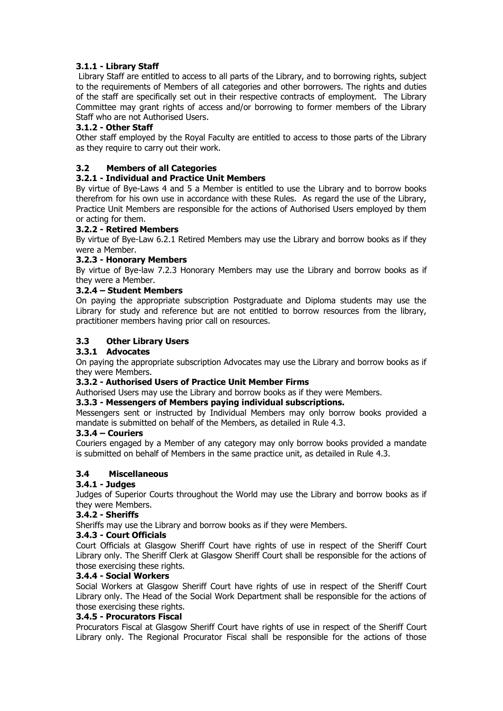### **3.1.1 - Library Staff**

Library Staff are entitled to access to all parts of the Library, and to borrowing rights, subject to the requirements of Members of all categories and other borrowers. The rights and duties of the staff are specifically set out in their respective contracts of employment. The Library Committee may grant rights of access and/or borrowing to former members of the Library Staff who are not Authorised Users.

### **3.1.2 - Other Staff**

Other staff employed by the Royal Faculty are entitled to access to those parts of the Library as they require to carry out their work.

### **3.2 Members of all Categories**

### **3.2.1 - Individual and Practice Unit Members**

By virtue of Bye-Laws 4 and 5 a Member is entitled to use the Library and to borrow books therefrom for his own use in accordance with these Rules. As regard the use of the Library, Practice Unit Members are responsible for the actions of Authorised Users employed by them or acting for them.

### **3.2.2 - Retired Members**

By virtue of Bye-Law 6.2.1 Retired Members may use the Library and borrow books as if they were a Member.

#### **3.2.3 - Honorary Members**

By virtue of Bye-law 7.2.3 Honorary Members may use the Library and borrow books as if they were a Member.

#### **3.2.4 – Student Members**

On paying the appropriate subscription Postgraduate and Diploma students may use the Library for study and reference but are not entitled to borrow resources from the library, practitioner members having prior call on resources.

#### **3.3 Other Library Users**

#### **3.3.1 Advocates**

On paying the appropriate subscription Advocates may use the Library and borrow books as if they were Members.

#### **3.3.2 - Authorised Users of Practice Unit Member Firms**

Authorised Users may use the Library and borrow books as if they were Members.

#### **3.3.3 - Messengers of Members paying individual subscriptions.**

Messengers sent or instructed by Individual Members may only borrow books provided a mandate is submitted on behalf of the Members, as detailed in Rule 4.3.

#### **3.3.4 – Couriers**

Couriers engaged by a Member of any category may only borrow books provided a mandate is submitted on behalf of Members in the same practice unit, as detailed in Rule 4.3.

#### **3.4 Miscellaneous**

### **3.4.1 - Judges**

Judges of Superior Courts throughout the World may use the Library and borrow books as if they were Members.

#### **3.4.2 - Sheriffs**

Sheriffs may use the Library and borrow books as if they were Members.

#### **3.4.3 - Court Officials**

Court Officials at Glasgow Sheriff Court have rights of use in respect of the Sheriff Court Library only. The Sheriff Clerk at Glasgow Sheriff Court shall be responsible for the actions of those exercising these rights.

#### **3.4.4 - Social Workers**

Social Workers at Glasgow Sheriff Court have rights of use in respect of the Sheriff Court Library only. The Head of the Social Work Department shall be responsible for the actions of those exercising these rights.

#### **3.4.5 - Procurators Fiscal**

Procurators Fiscal at Glasgow Sheriff Court have rights of use in respect of the Sheriff Court Library only. The Regional Procurator Fiscal shall be responsible for the actions of those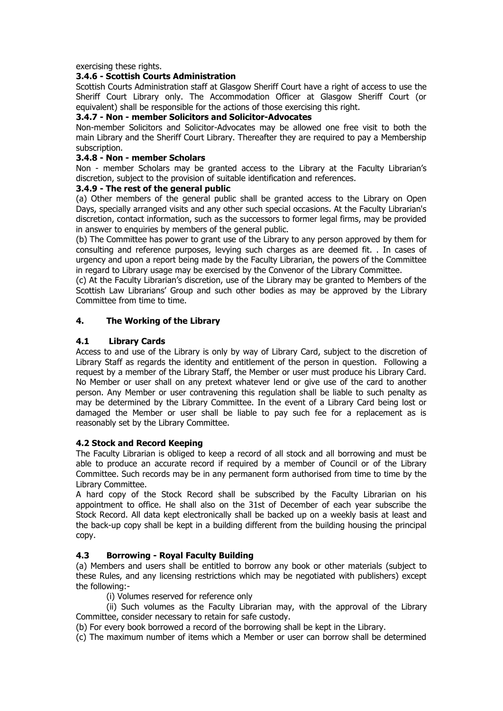exercising these rights.

#### **3.4.6 - Scottish Courts Administration**

Scottish Courts Administration staff at Glasgow Sheriff Court have a right of access to use the Sheriff Court Library only. The Accommodation Officer at Glasgow Sheriff Court (or equivalent) shall be responsible for the actions of those exercising this right.

#### **3.4.7 - Non - member Solicitors and Solicitor-Advocates**

Non-member Solicitors and Solicitor-Advocates may be allowed one free visit to both the main Library and the Sheriff Court Library. Thereafter they are required to pay a Membership subscription.

#### **3.4.8 - Non - member Scholars**

Non - member Scholars may be granted access to the Library at the Faculty Librarian's discretion, subject to the provision of suitable identification and references.

#### **3.4.9 - The rest of the general public**

(a) Other members of the general public shall be granted access to the Library on Open Days, specially arranged visits and any other such special occasions. At the Faculty Librarian's discretion, contact information, such as the successors to former legal firms, may be provided in answer to enquiries by members of the general public.

(b) The Committee has power to grant use of the Library to any person approved by them for consulting and reference purposes, levying such charges as are deemed fit. . In cases of urgency and upon a report being made by the Faculty Librarian, the powers of the Committee in regard to Library usage may be exercised by the Convenor of the Library Committee.

(c) At the Faculty Librarian's discretion, use of the Library may be granted to Members of the Scottish Law Librarians' Group and such other bodies as may be approved by the Library Committee from time to time.

#### **4. The Working of the Library**

#### **4.1 Library Cards**

Access to and use of the Library is only by way of Library Card, subject to the discretion of Library Staff as regards the identity and entitlement of the person in question. Following a request by a member of the Library Staff, the Member or user must produce his Library Card. No Member or user shall on any pretext whatever lend or give use of the card to another person. Any Member or user contravening this regulation shall be liable to such penalty as may be determined by the Library Committee. In the event of a Library Card being lost or damaged the Member or user shall be liable to pay such fee for a replacement as is reasonably set by the Library Committee.

#### **4.2 Stock and Record Keeping**

The Faculty Librarian is obliged to keep a record of all stock and all borrowing and must be able to produce an accurate record if required by a member of Council or of the Library Committee. Such records may be in any permanent form authorised from time to time by the Library Committee.

A hard copy of the Stock Record shall be subscribed by the Faculty Librarian on his appointment to office. He shall also on the 31st of December of each year subscribe the Stock Record. All data kept electronically shall be backed up on a weekly basis at least and the back-up copy shall be kept in a building different from the building housing the principal copy.

### **4.3 Borrowing - Royal Faculty Building**

(a) Members and users shall be entitled to borrow any book or other materials (subject to these Rules, and any licensing restrictions which may be negotiated with publishers) except the following:-

(i) Volumes reserved for reference only

(ii) Such volumes as the Faculty Librarian may, with the approval of the Library Committee, consider necessary to retain for safe custody.

(b) For every book borrowed a record of the borrowing shall be kept in the Library.

(c) The maximum number of items which a Member or user can borrow shall be determined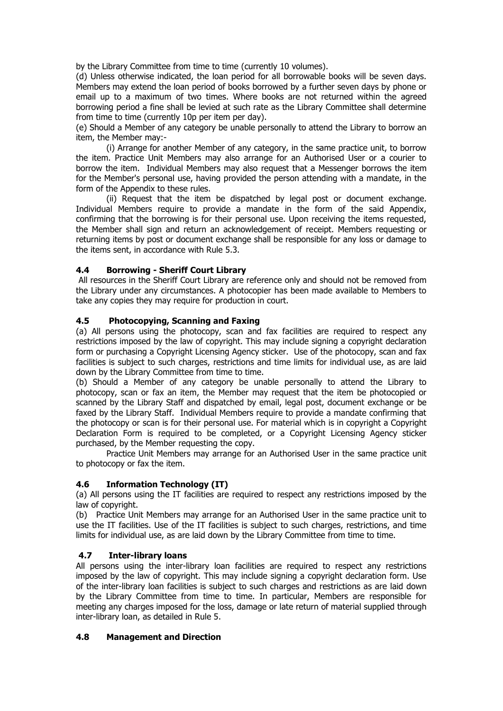by the Library Committee from time to time (currently 10 volumes).

(d) Unless otherwise indicated, the loan period for all borrowable books will be seven days. Members may extend the loan period of books borrowed by a further seven days by phone or email up to a maximum of two times. Where books are not returned within the agreed borrowing period a fine shall be levied at such rate as the Library Committee shall determine from time to time (currently 10p per item per day).

(e) Should a Member of any category be unable personally to attend the Library to borrow an item, the Member may:-

(i) Arrange for another Member of any category, in the same practice unit, to borrow the item. Practice Unit Members may also arrange for an Authorised User or a courier to borrow the item. Individual Members may also request that a Messenger borrows the item for the Member's personal use, having provided the person attending with a mandate, in the form of the Appendix to these rules.

(ii) Request that the item be dispatched by legal post or document exchange. Individual Members require to provide a mandate in the form of the said Appendix, confirming that the borrowing is for their personal use. Upon receiving the items requested, the Member shall sign and return an acknowledgement of receipt. Members requesting or returning items by post or document exchange shall be responsible for any loss or damage to the items sent, in accordance with Rule 5.3.

#### **4.4 Borrowing - Sheriff Court Library**

All resources in the Sheriff Court Library are reference only and should not be removed from the Library under any circumstances. A photocopier has been made available to Members to take any copies they may require for production in court.

#### **4.5 Photocopying, Scanning and Faxing**

(a) All persons using the photocopy, scan and fax facilities are required to respect any restrictions imposed by the law of copyright. This may include signing a copyright declaration form or purchasing a Copyright Licensing Agency sticker. Use of the photocopy, scan and fax facilities is subject to such charges, restrictions and time limits for individual use, as are laid down by the Library Committee from time to time.

(b) Should a Member of any category be unable personally to attend the Library to photocopy, scan or fax an item, the Member may request that the item be photocopied or scanned by the Library Staff and dispatched by email, legal post, document exchange or be faxed by the Library Staff. Individual Members require to provide a mandate confirming that the photocopy or scan is for their personal use. For material which is in copyright a Copyright Declaration Form is required to be completed, or a Copyright Licensing Agency sticker purchased, by the Member requesting the copy.

Practice Unit Members may arrange for an Authorised User in the same practice unit to photocopy or fax the item.

### **4.6 Information Technology (IT)**

(a) All persons using the IT facilities are required to respect any restrictions imposed by the law of copyright.

(b) Practice Unit Members may arrange for an Authorised User in the same practice unit to use the IT facilities. Use of the IT facilities is subject to such charges, restrictions, and time limits for individual use, as are laid down by the Library Committee from time to time.

#### **4.7 Inter-library loans**

All persons using the inter-library loan facilities are required to respect any restrictions imposed by the law of copyright. This may include signing a copyright declaration form. Use of the inter-library loan facilities is subject to such charges and restrictions as are laid down by the Library Committee from time to time. In particular, Members are responsible for meeting any charges imposed for the loss, damage or late return of material supplied through inter-library loan, as detailed in Rule 5.

#### **4.8 Management and Direction**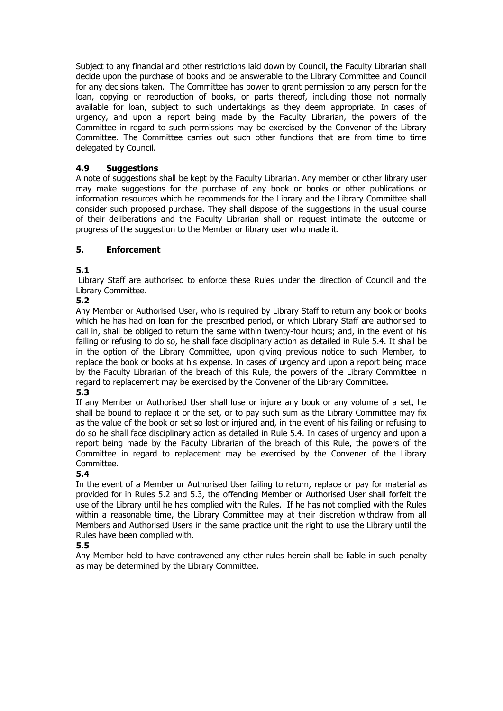Subject to any financial and other restrictions laid down by Council, the Faculty Librarian shall decide upon the purchase of books and be answerable to the Library Committee and Council for any decisions taken. The Committee has power to grant permission to any person for the loan, copying or reproduction of books, or parts thereof, including those not normally available for loan, subject to such undertakings as they deem appropriate. In cases of urgency, and upon a report being made by the Faculty Librarian, the powers of the Committee in regard to such permissions may be exercised by the Convenor of the Library Committee. The Committee carries out such other functions that are from time to time delegated by Council.

### **4.9 Suggestions**

A note of suggestions shall be kept by the Faculty Librarian. Any member or other library user may make suggestions for the purchase of any book or books or other publications or information resources which he recommends for the Library and the Library Committee shall consider such proposed purchase. They shall dispose of the suggestions in the usual course of their deliberations and the Faculty Librarian shall on request intimate the outcome or progress of the suggestion to the Member or library user who made it.

#### **5. Enforcement**

### **5.1**

Library Staff are authorised to enforce these Rules under the direction of Council and the Library Committee.

#### **5.2**

Any Member or Authorised User, who is required by Library Staff to return any book or books which he has had on loan for the prescribed period, or which Library Staff are authorised to call in, shall be obliged to return the same within twenty-four hours; and, in the event of his failing or refusing to do so, he shall face disciplinary action as detailed in Rule 5.4. It shall be in the option of the Library Committee, upon giving previous notice to such Member, to replace the book or books at his expense. In cases of urgency and upon a report being made by the Faculty Librarian of the breach of this Rule, the powers of the Library Committee in regard to replacement may be exercised by the Convener of the Library Committee.

#### **5.3**

If any Member or Authorised User shall lose or injure any book or any volume of a set, he shall be bound to replace it or the set, or to pay such sum as the Library Committee may fix as the value of the book or set so lost or injured and, in the event of his failing or refusing to do so he shall face disciplinary action as detailed in Rule 5.4. In cases of urgency and upon a report being made by the Faculty Librarian of the breach of this Rule, the powers of the Committee in regard to replacement may be exercised by the Convener of the Library Committee.

#### **5.4**

In the event of a Member or Authorised User failing to return, replace or pay for material as provided for in Rules 5.2 and 5.3, the offending Member or Authorised User shall forfeit the use of the Library until he has complied with the Rules. If he has not complied with the Rules within a reasonable time, the Library Committee may at their discretion withdraw from all Members and Authorised Users in the same practice unit the right to use the Library until the Rules have been complied with.

#### **5.5**

Any Member held to have contravened any other rules herein shall be liable in such penalty as may be determined by the Library Committee.